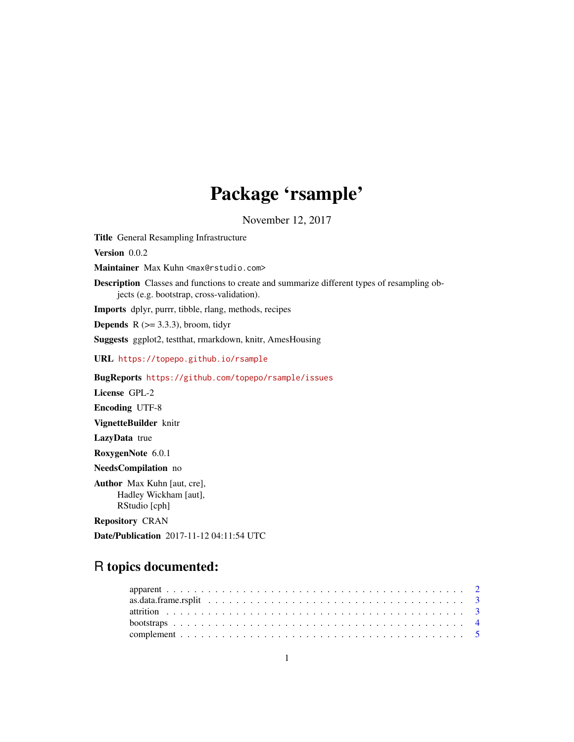# Package 'rsample'

November 12, 2017

Title General Resampling Infrastructure Version 0.0.2 Maintainer Max Kuhn <max@rstudio.com> Description Classes and functions to create and summarize different types of resampling objects (e.g. bootstrap, cross-validation). Imports dplyr, purrr, tibble, rlang, methods, recipes **Depends** R  $(>= 3.3.3)$ , broom, tidyr Suggests ggplot2, testthat, rmarkdown, knitr, AmesHousing URL <https://topepo.github.io/rsample> BugReports <https://github.com/topepo/rsample/issues> License GPL-2 Encoding UTF-8 VignetteBuilder knitr LazyData true RoxygenNote 6.0.1 NeedsCompilation no Author Max Kuhn [aut, cre], Hadley Wickham [aut], RStudio [cph] Repository CRAN Date/Publication 2017-11-12 04:11:54 UTC

## R topics documented: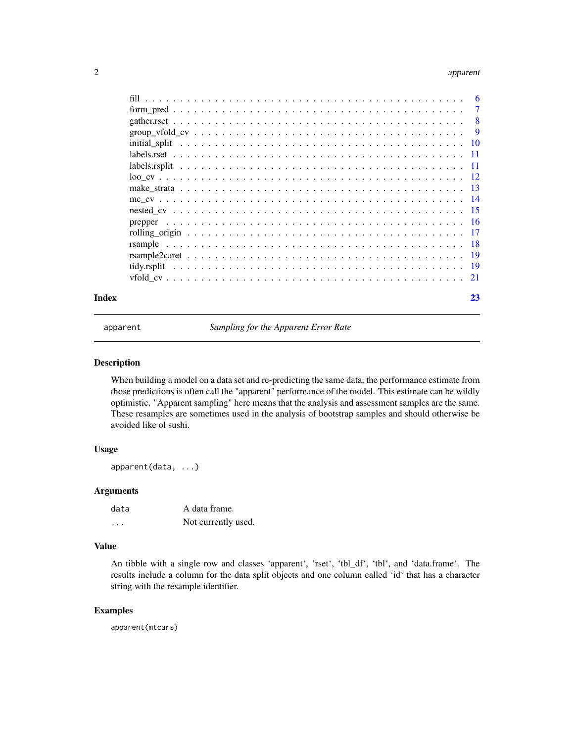#### <span id="page-1-0"></span>2 apparent to the contract of the contract of the contract of the contract of the contract of the contract of the contract of the contract of the contract of the contract of the contract of the contract of the contract of

| Index | 23 |
|-------|----|
|       |    |
|       |    |
|       |    |
|       |    |
|       |    |
|       |    |
|       |    |
|       |    |
|       |    |
|       |    |
|       |    |
|       |    |
|       |    |
|       |    |
|       |    |
|       |    |
|       |    |

apparent *Sampling for the Apparent Error Rate*

#### Description

When building a model on a data set and re-predicting the same data, the performance estimate from those predictions is often call the "apparent" performance of the model. This estimate can be wildly optimistic. "Apparent sampling" here means that the analysis and assessment samples are the same. These resamples are sometimes used in the analysis of bootstrap samples and should otherwise be avoided like ol sushi.

#### Usage

apparent(data, ...)

#### Arguments

data A data frame. ... Not currently used.

#### Value

An tibble with a single row and classes 'apparent', 'rset', 'tbl\_df', 'tbl', and 'data.frame'. The results include a column for the data split objects and one column called 'id' that has a character string with the resample identifier.

#### Examples

apparent(mtcars)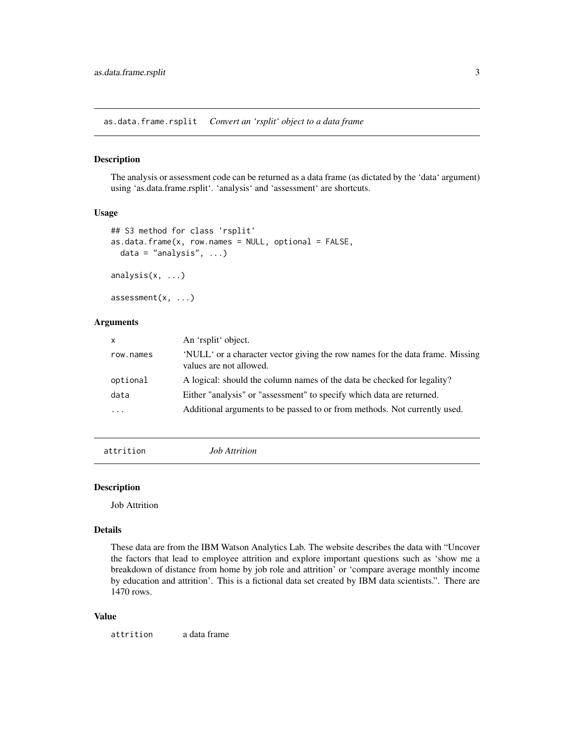<span id="page-2-0"></span>as.data.frame.rsplit *Convert an 'rsplit' object to a data frame*

#### Description

The analysis or assessment code can be returned as a data frame (as dictated by the 'data' argument) using 'as.data.frame.rsplit'. 'analysis' and 'assessment' are shortcuts.

#### Usage

```
## S3 method for class 'rsplit'
as.data. frame(x, row. names = NULL, optional = FALSE,data = "analysis", \ldots)
```
analysis(x, ...)

 $assessment(x, \ldots)$ 

#### Arguments

| $\mathsf{x}$            | An 'rsplit' object.                                                                                      |
|-------------------------|----------------------------------------------------------------------------------------------------------|
| row.names               | 'NULL' or a character vector giving the row names for the data frame. Missing<br>values are not allowed. |
| optional                | A logical: should the column names of the data be checked for legality?                                  |
| data                    | Either "analysis" or "assessment" to specify which data are returned.                                    |
| $\cdot$ $\cdot$ $\cdot$ | Additional arguments to be passed to or from methods. Not currently used.                                |

attrition *Job Attrition*

#### Description

Job Attrition

#### Details

These data are from the IBM Watson Analytics Lab. The website describes the data with "Uncover the factors that lead to employee attrition and explore important questions such as 'show me a breakdown of distance from home by job role and attrition' or 'compare average monthly income by education and attrition'. This is a fictional data set created by IBM data scientists.". There are 1470 rows.

#### Value

attrition a data frame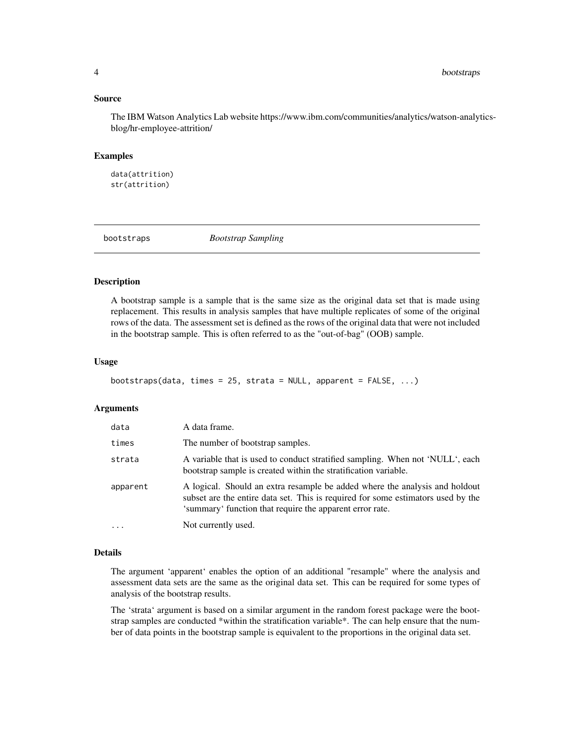#### <span id="page-3-0"></span>Source

The IBM Watson Analytics Lab website https://www.ibm.com/communities/analytics/watson-analyticsblog/hr-employee-attrition/

#### Examples

data(attrition) str(attrition)

bootstraps *Bootstrap Sampling*

#### **Description**

A bootstrap sample is a sample that is the same size as the original data set that is made using replacement. This results in analysis samples that have multiple replicates of some of the original rows of the data. The assessment set is defined as the rows of the original data that were not included in the bootstrap sample. This is often referred to as the "out-of-bag" (OOB) sample.

#### Usage

```
bootstraps(data, times = 25, strata = NULL, apparent = FALSE, ...)
```
#### Arguments

| data       | A data frame.                                                                                                                                                                                                               |
|------------|-----------------------------------------------------------------------------------------------------------------------------------------------------------------------------------------------------------------------------|
| times      | The number of bootstrap samples.                                                                                                                                                                                            |
| strata     | A variable that is used to conduct stratified sampling. When not 'NULL', each<br>bootstrap sample is created within the stratification variable.                                                                            |
| apparent   | A logical. Should an extra resample be added where the analysis and holdout<br>subset are the entire data set. This is required for some estimators used by the<br>'summary' function that require the apparent error rate. |
| $\ddots$ . | Not currently used.                                                                                                                                                                                                         |

#### Details

The argument 'apparent' enables the option of an additional "resample" where the analysis and assessment data sets are the same as the original data set. This can be required for some types of analysis of the bootstrap results.

The 'strata' argument is based on a similar argument in the random forest package were the bootstrap samples are conducted \*within the stratification variable\*. The can help ensure that the number of data points in the bootstrap sample is equivalent to the proportions in the original data set.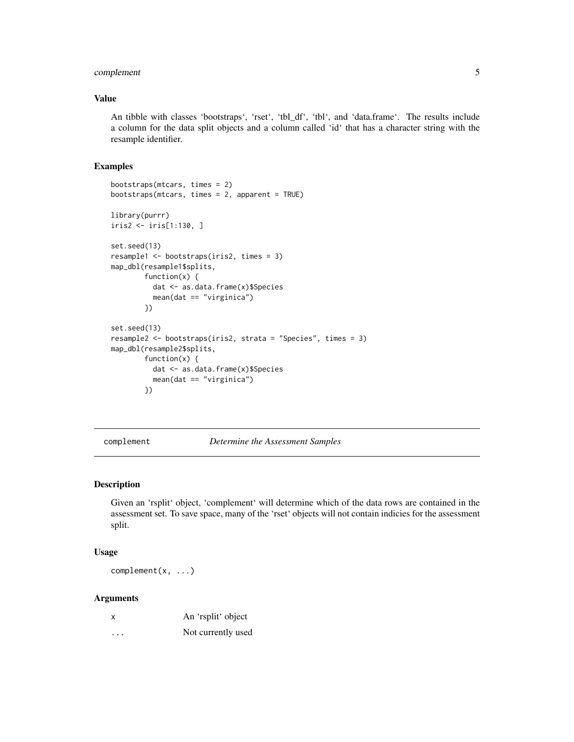#### <span id="page-4-0"></span>complement 5

#### Value

An tibble with classes 'bootstraps', 'rset', 'tbl\_df', 'tbl', and 'data.frame'. The results include a column for the data split objects and a column called 'id' that has a character string with the resample identifier.

#### Examples

```
bootstraps(mtcars, times = 2)
bootstraps(mtcars, times = 2, apparent = TRUE)
library(purrr)
iris2 <- iris[1:130, ]
set.seed(13)
resample1 <- bootstraps(iris2, times = 3)
map_dbl(resample1$splits,
        function(x) {
          dat <- as.data.frame(x)$Species
          mean(dat == "virginica")
        })
set.seed(13)
resample2 <- bootstraps(iris2, strata = "Species", times = 3)
map_dbl(resample2$splits,
        function(x) {
          dat <- as.data.frame(x)$Species
          mean(dat == "virginica")
        })
```
complement *Determine the Assessment Samples*

#### Description

Given an 'rsplit' object, 'complement' will determine which of the data rows are contained in the assessment set. To save space, many of the 'rset' objects will not contain indicies for the assessment split.

#### Usage

complement(x, ...)

#### Arguments

| x | An 'rsplit' object |
|---|--------------------|
|   | Not currently used |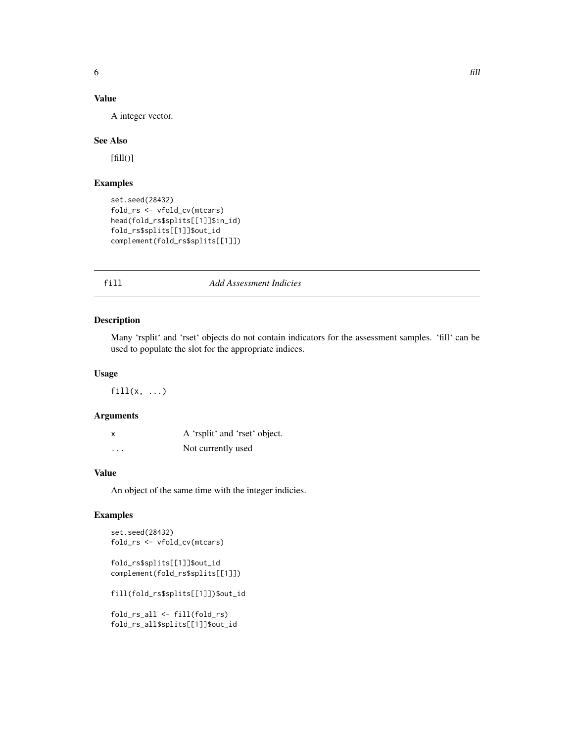#### <span id="page-5-0"></span>Value

A integer vector.

#### See Also

 $[fill()]$ 

#### Examples

```
set.seed(28432)
fold_rs <- vfold_cv(mtcars)
head(fold_rs$splits[[1]]$in_id)
fold_rs$splits[[1]]$out_id
complement(fold_rs$splits[[1]])
```
### fill *Add Assessment Indicies*

#### Description

Many 'rsplit' and 'rset' objects do not contain indicators for the assessment samples. 'fill' can be used to populate the slot for the appropriate indices.

#### Usage

 $fill(x, ...)$ 

#### Arguments

| X        | A 'rsplit' and 'rset' object. |
|----------|-------------------------------|
| $\cdots$ | Not currently used            |

#### Value

An object of the same time with the integer indicies.

#### Examples

```
set.seed(28432)
fold_rs <- vfold_cv(mtcars)
```
fold\_rs\$splits[[1]]\$out\_id complement(fold\_rs\$splits[[1]])

fill(fold\_rs\$splits[[1]])\$out\_id

fold\_rs\_all <- fill(fold\_rs) fold\_rs\_all\$splits[[1]]\$out\_id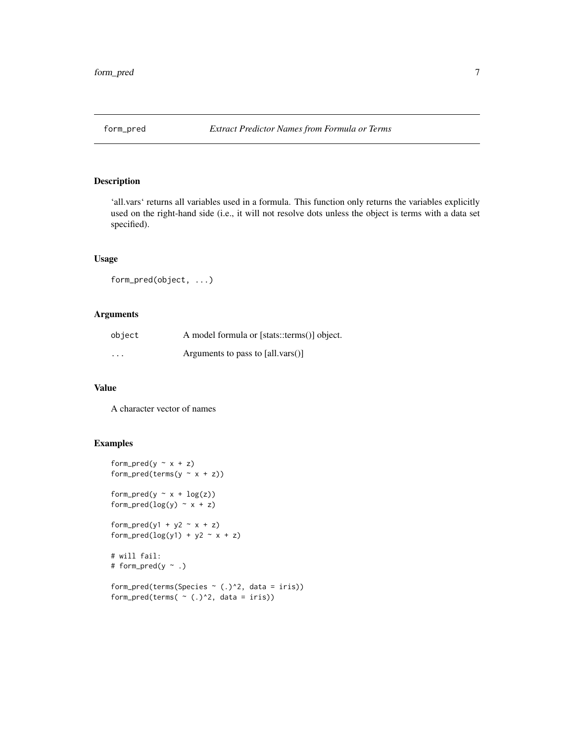<span id="page-6-0"></span>

'all.vars' returns all variables used in a formula. This function only returns the variables explicitly used on the right-hand side (i.e., it will not resolve dots unless the object is terms with a data set specified).

#### Usage

```
form_pred(object, ...)
```
#### Arguments

| object  | A model formula or [stats::terms()] object.            |
|---------|--------------------------------------------------------|
| $\cdot$ | Arguments to pass to $\lceil \text{all.vars}() \rceil$ |

#### Value

A character vector of names

```
form_pred(y \sim x + z)
form_pred(terms(y \sim x + z))
form_pred(y \sim x + log(z))
form_pred(log(y) \sim x + z)
form_pred(y1 + y2 \sim x + z)
form_pred(log(y1) + y2 - x + z)
# will fail:
# form_pred(y ~ .)
form_pred(terms(Species ~ (.)^2, data = iris))
form_pred(terms( \sim (.)^2, data = iris))
```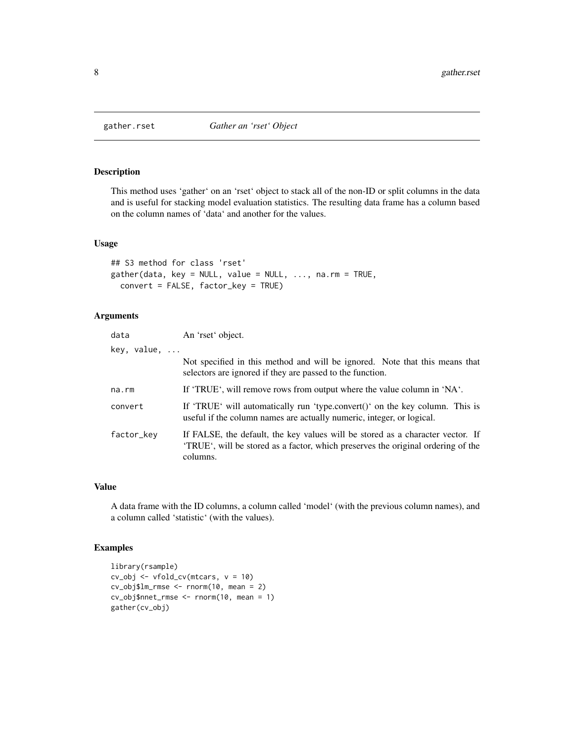<span id="page-7-0"></span>

This method uses 'gather' on an 'rset' object to stack all of the non-ID or split columns in the data and is useful for stacking model evaluation statistics. The resulting data frame has a column based on the column names of 'data' and another for the values.

#### Usage

```
## S3 method for class 'rset'
gather(data, key = NULL, value = NULL, ..., na.rm = TRUE,convert = FALSE, factor_key = TRUE)
```
#### Arguments

| data        | An 'rset' object.                                                                                                                                                              |
|-------------|--------------------------------------------------------------------------------------------------------------------------------------------------------------------------------|
| key, value, |                                                                                                                                                                                |
|             | Not specified in this method and will be ignored. Note that this means that<br>selectors are ignored if they are passed to the function.                                       |
| na.rm       | If 'TRUE', will remove rows from output where the value column in 'NA'.                                                                                                        |
| convert     | If 'TRUE' will automatically run 'type.convert()' on the key column. This is<br>useful if the column names are actually numeric, integer, or logical.                          |
| factor_key  | If FALSE, the default, the key values will be stored as a character vector. If<br>'TRUE', will be stored as a factor, which preserves the original ordering of the<br>columns. |

#### Value

A data frame with the ID columns, a column called 'model' (with the previous column names), and a column called 'statistic' (with the values).

```
library(rsample)
cv\_obj \le vfold\_cv(mtcars, v = 10)cv_obj$lm_rmse <- rnorm(10, mean = 2)
cv_obj$nnet_rmse <- rnorm(10, mean = 1)
gather(cv_obj)
```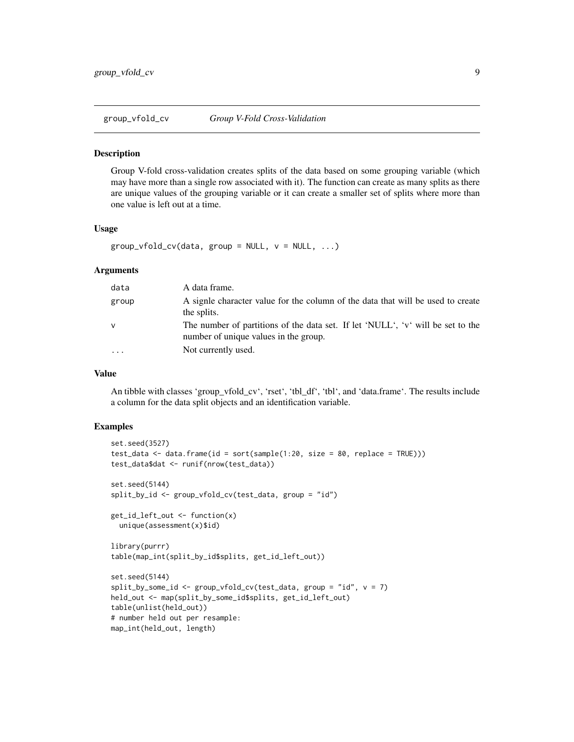<span id="page-8-0"></span>group\_vfold\_cv *Group V-Fold Cross-Validation*

#### Description

Group V-fold cross-validation creates splits of the data based on some grouping variable (which may have more than a single row associated with it). The function can create as many splits as there are unique values of the grouping variable or it can create a smaller set of splits where more than one value is left out at a time.

#### Usage

```
group_vfold_cv(data, group = NULL, v = NULL, ...)
```
#### Arguments

| data         | A data frame.                                                                                                            |
|--------------|--------------------------------------------------------------------------------------------------------------------------|
| group        | A signle character value for the column of the data that will be used to create<br>the splits.                           |
| $\mathsf{v}$ | The number of partitions of the data set. If let 'NULL', 'v' will be set to the<br>number of unique values in the group. |
|              | Not currently used.                                                                                                      |

#### Value

An tibble with classes 'group\_vfold\_cv', 'rset', 'tbl\_df', 'tbl', and 'data.frame'. The results include a column for the data split objects and an identification variable.

```
set.seed(3527)
test_data <- data.frame(id = sort(sample(1:20, size = 80, replace = TRUE)))
test_data$dat <- runif(nrow(test_data))
set.seed(5144)
split_by_id <- group_vfold_cv(test_data, group = "id")
get_id_left_out <- function(x)
 unique(assessment(x)$id)
library(purrr)
table(map_int(split_by_id$splits, get_id_left_out))
set.seed(5144)
split_by_some_id <- group_vfold_cv(test_data, group = "id", v = 7)
held_out <- map(split_by_some_id$splits, get_id_left_out)
table(unlist(held_out))
# number held out per resample:
map_int(held_out, length)
```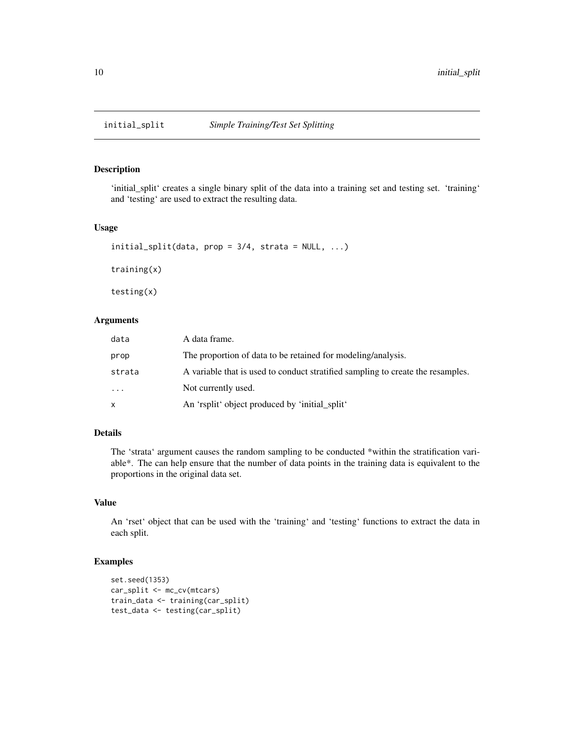<span id="page-9-0"></span>

'initial\_split' creates a single binary split of the data into a training set and testing set. 'training' and 'testing' are used to extract the resulting data.

#### Usage

```
initial\_split(data, prop = 3/4, strata = NULL, ...)
training(x)
testing(x)
```
#### Arguments

| data     | A data frame.                                                                   |
|----------|---------------------------------------------------------------------------------|
| prop     | The proportion of data to be retained for modeling/analysis.                    |
| strata   | A variable that is used to conduct stratified sampling to create the resamples. |
| $\ddots$ | Not currently used.                                                             |
| x        | An 'rsplit' object produced by 'initial_split'                                  |

#### Details

The 'strata' argument causes the random sampling to be conducted \*within the stratification variable\*. The can help ensure that the number of data points in the training data is equivalent to the proportions in the original data set.

#### Value

An 'rset' object that can be used with the 'training' and 'testing' functions to extract the data in each split.

```
set.seed(1353)
car_split <- mc_cv(mtcars)
train_data <- training(car_split)
test_data <- testing(car_split)
```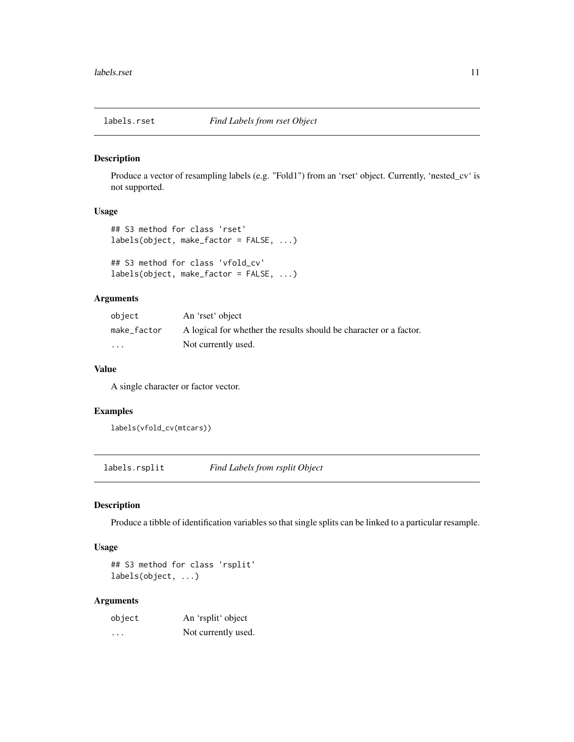<span id="page-10-0"></span>

Produce a vector of resampling labels (e.g. "Fold1") from an 'rset' object. Currently, 'nested\_cv' is not supported.

#### Usage

```
## S3 method for class 'rset'
labels(object, make_factor = FALSE, ...)
```

```
## S3 method for class 'vfold_cv'
labels(object, make_factor = FALSE, ...)
```
#### Arguments

| object                  | An 'rset' object                                                   |
|-------------------------|--------------------------------------------------------------------|
| make_factor             | A logical for whether the results should be character or a factor. |
| $\cdot$ $\cdot$ $\cdot$ | Not currently used.                                                |

#### Value

A single character or factor vector.

#### Examples

labels(vfold\_cv(mtcars))

labels.rsplit *Find Labels from rsplit Object*

#### Description

Produce a tibble of identification variables so that single splits can be linked to a particular resample.

#### Usage

## S3 method for class 'rsplit' labels(object, ...)

#### Arguments

| object  | An 'rsplit' object  |
|---------|---------------------|
| $\cdot$ | Not currently used. |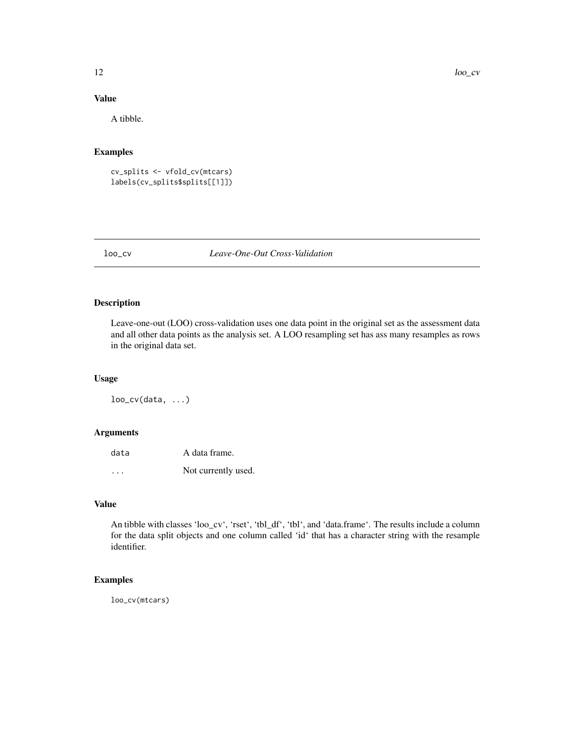#### <span id="page-11-0"></span>Value

A tibble.

#### Examples

cv\_splits <- vfold\_cv(mtcars) labels(cv\_splits\$splits[[1]])

#### loo\_cv *Leave-One-Out Cross-Validation*

#### Description

Leave-one-out (LOO) cross-validation uses one data point in the original set as the assessment data and all other data points as the analysis set. A LOO resampling set has ass many resamples as rows in the original data set.

#### Usage

 $loo_cv(data, ...)$ 

#### Arguments

| data | A data frame.       |
|------|---------------------|
| .    | Not currently used. |

#### Value

An tibble with classes 'loo\_cv', 'rset', 'tbl\_df', 'tbl', and 'data.frame'. The results include a column for the data split objects and one column called 'id' that has a character string with the resample identifier.

#### Examples

loo\_cv(mtcars)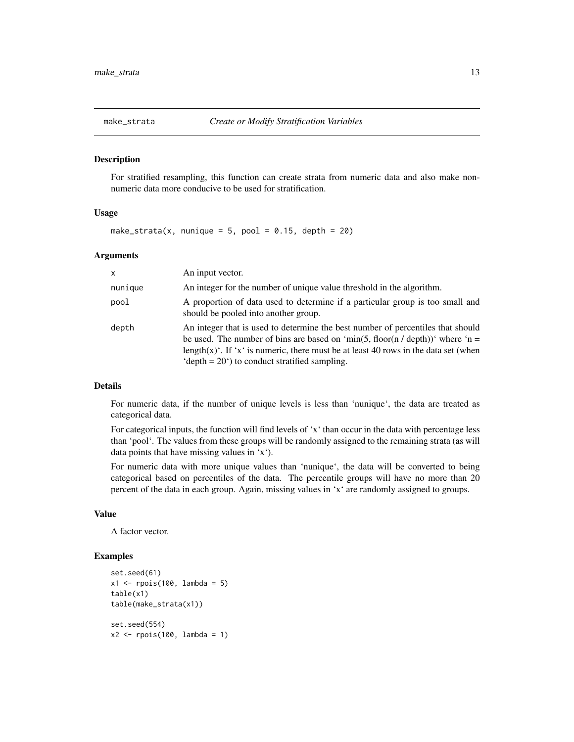<span id="page-12-0"></span>

For stratified resampling, this function can create strata from numeric data and also make nonnumeric data more conducive to be used for stratification.

#### Usage

make\_strata(x, nunique = 5, pool = 0.15, depth = 20)

#### Arguments

| $\mathsf{x}$ | An input vector.                                                                                                                                                                                                                                                                                             |
|--------------|--------------------------------------------------------------------------------------------------------------------------------------------------------------------------------------------------------------------------------------------------------------------------------------------------------------|
| nunique      | An integer for the number of unique value threshold in the algorithm.                                                                                                                                                                                                                                        |
| pool         | A proportion of data used to determine if a particular group is too small and<br>should be pooled into another group.                                                                                                                                                                                        |
| depth        | An integer that is used to determine the best number of percentiles that should<br>be used. The number of bins are based on 'min(5, floor(n / depth))' where 'n =<br>length(x)'. If 'x' is numeric, there must be at least 40 rows in the data set (when<br>'depth $= 20$ ') to conduct stratified sampling. |

#### Details

For numeric data, if the number of unique levels is less than 'nunique', the data are treated as categorical data.

For categorical inputs, the function will find levels of 'x' than occur in the data with percentage less than 'pool'. The values from these groups will be randomly assigned to the remaining strata (as will data points that have missing values in 'x').

For numeric data with more unique values than 'nunique', the data will be converted to being categorical based on percentiles of the data. The percentile groups will have no more than 20 percent of the data in each group. Again, missing values in 'x' are randomly assigned to groups.

#### Value

A factor vector.

```
set.seed(61)
x1 \leftarrow \text{rpois}(100, \text{lambda} = 5)table(x1)
table(make_strata(x1))
set.seed(554)
x2 \le rpois(100, lambda = 1)
```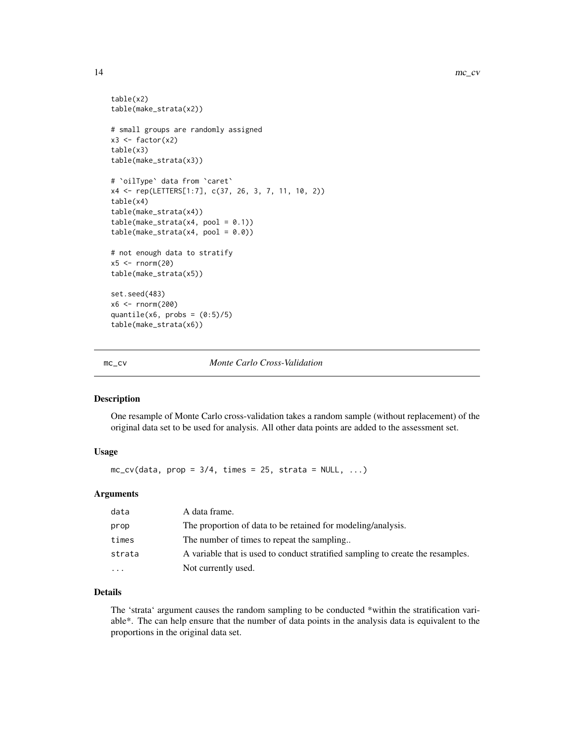```
table(x2)
table(make_strata(x2))
# small groups are randomly assigned
x3 \leftarrow factor(x2)
table(x3)
table(make_strata(x3))
# `oilType` data from `caret`
x4 <- rep(LETTERS[1:7], c(37, 26, 3, 7, 11, 10, 2))
table(x4)
table(make_strata(x4))
table(make\_strata(x4, pool = 0.1))table(make\_strata(x4, pool = 0.0))# not enough data to stratify
x5 < - rnorm(20)table(make_strata(x5))
set.seed(483)
x6 <- rnorm(200)
quantile(x6, probs = (0:5)/5)
table(make_strata(x6))
```
mc\_cv *Monte Carlo Cross-Validation*

#### Description

One resample of Monte Carlo cross-validation takes a random sample (without replacement) of the original data set to be used for analysis. All other data points are added to the assessment set.

#### Usage

 $mc_{c}v$ (data, prop = 3/4, times = 25, strata = NULL, ...)

#### Arguments

| data     | A data frame.                                                                   |
|----------|---------------------------------------------------------------------------------|
| prop     | The proportion of data to be retained for modeling/analysis.                    |
| times    | The number of times to repeat the sampling                                      |
| strata   | A variable that is used to conduct stratified sampling to create the resamples. |
| $\cdots$ | Not currently used.                                                             |
|          |                                                                                 |

#### Details

The 'strata' argument causes the random sampling to be conducted \*within the stratification variable\*. The can help ensure that the number of data points in the analysis data is equivalent to the proportions in the original data set.

<span id="page-13-0"></span>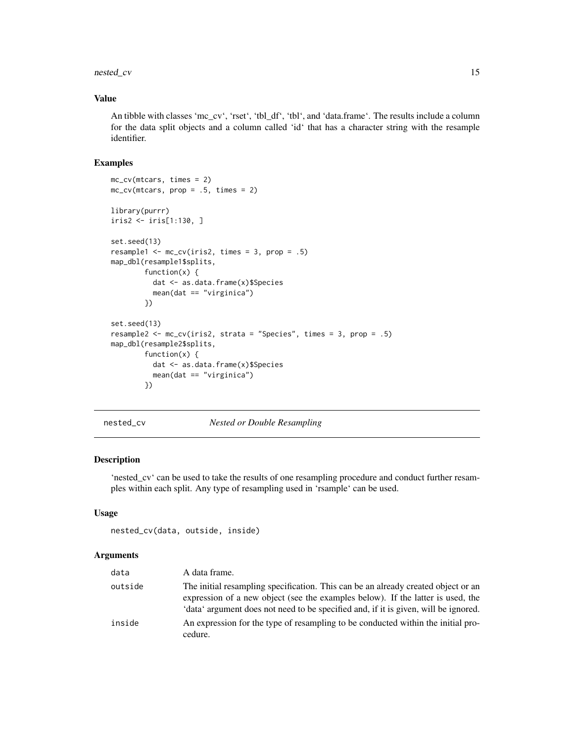#### <span id="page-14-0"></span>nested\_cv 15

#### Value

An tibble with classes 'mc\_cv', 'rset', 'tbl\_df', 'tbl', and 'data.frame'. The results include a column for the data split objects and a column called 'id' that has a character string with the resample identifier.

#### Examples

```
mc_cv(mtcars, times = 2)
mc_{cv}(mtcars, prop = .5, times = 2)
library(purrr)
iris2 <- iris[1:130, ]
set.seed(13)
resample1 \le mc_cv(iris2, times = 3, prop = .5)
map_dbl(resample1$splits,
        function(x) {
          dat <- as.data.frame(x)$Species
          mean(dat == "virginica")
        })
set.seed(13)
resample2 <- mc\_cv(iris2, strata = "Species", times = 3, prop = .5)map_dbl(resample2$splits,
        function(x) {
          dat <- as.data.frame(x)$Species
          mean(dat == "virginica")
        })
```
nested\_cv *Nested or Double Resampling*

#### Description

'nested\_cv' can be used to take the results of one resampling procedure and conduct further resamples within each split. Any type of resampling used in 'rsample' can be used.

#### Usage

```
nested_cv(data, outside, inside)
```
#### Arguments

| data    | A data frame.                                                                                                                                                                                                                                               |
|---------|-------------------------------------------------------------------------------------------------------------------------------------------------------------------------------------------------------------------------------------------------------------|
| outside | The initial resampling specification. This can be an already created object or an<br>expression of a new object (see the examples below). If the latter is used, the<br>'data' argument does not need to be specified and, if it is given, will be ignored. |
| inside  | An expression for the type of resampling to be conducted within the initial pro-<br>cedure.                                                                                                                                                                 |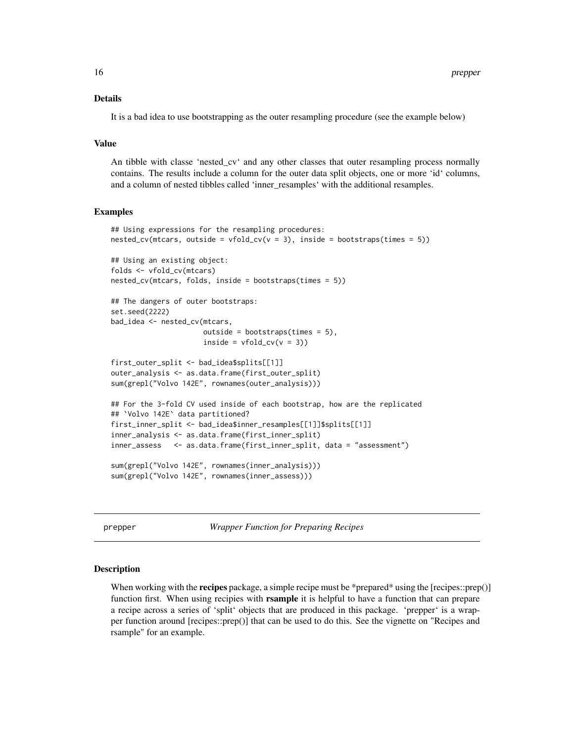#### <span id="page-15-0"></span>Details

It is a bad idea to use bootstrapping as the outer resampling procedure (see the example below)

#### Value

An tibble with classe 'nested\_cv' and any other classes that outer resampling process normally contains. The results include a column for the outer data split objects, one or more 'id' columns, and a column of nested tibbles called 'inner\_resamples' with the additional resamples.

#### Examples

```
## Using expressions for the resampling procedures:
nested_cv(mtcars, outside = vfold_cv(v = 3), inside = bootstraps(times = 5))
## Using an existing object:
folds <- vfold_cv(mtcars)
nested_cv(mtcars, folds, inside = bootstraps(times = 5))
## The dangers of outer bootstraps:
set.seed(2222)
bad_idea <- nested_cv(mtcars,
                      outside = bootstraps(times = 5),
                      inside = vfold_cv(v = 3))first_outer_split <- bad_idea$splits[[1]]
outer_analysis <- as.data.frame(first_outer_split)
sum(grepl("Volvo 142E", rownames(outer_analysis)))
## For the 3-fold CV used inside of each bootstrap, how are the replicated
## `Volvo 142E` data partitioned?
first_inner_split <- bad_idea$inner_resamples[[1]]$splits[[1]]
inner_analysis <- as.data.frame(first_inner_split)
inner_assess <- as.data.frame(first_inner_split, data = "assessment")
sum(grepl("Volvo 142E", rownames(inner_analysis)))
sum(grepl("Volvo 142E", rownames(inner_assess)))
```
prepper *Wrapper Function for Preparing Recipes*

#### **Description**

When working with the **recipes** package, a simple recipe must be \*prepared\* using the [recipes::prep()] function first. When using recipies with **rsample** it is helpful to have a function that can prepare a recipe across a series of 'split' objects that are produced in this package. 'prepper' is a wrapper function around [recipes::prep()] that can be used to do this. See the vignette on "Recipes and rsample" for an example.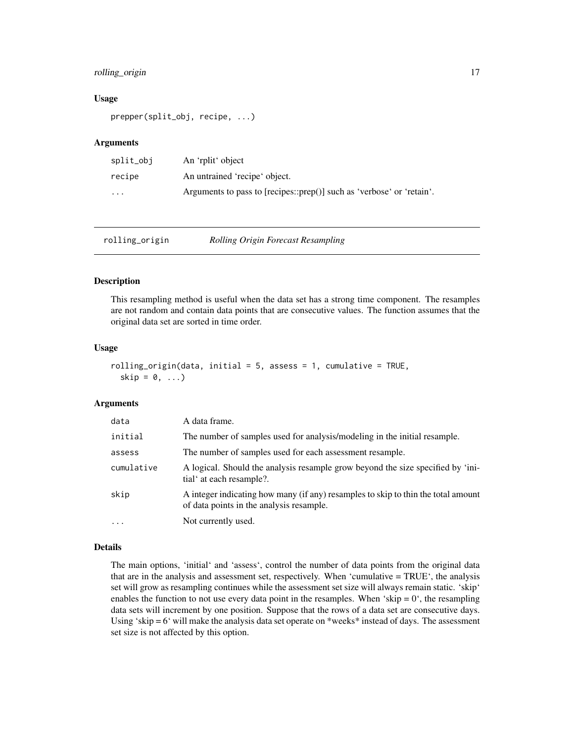#### <span id="page-16-0"></span>rolling\_origin 17

#### Usage

```
prepper(split_obj, recipe, ...)
```
#### **Arguments**

| split_obj | An 'rplit' object                                                     |
|-----------|-----------------------------------------------------------------------|
| recipe    | An untrained 'recipe' object.                                         |
| .         | Arguments to pass to [recipes::prep()] such as 'verbose' or 'retain'. |

| rolling_origin | <b>Rolling Origin Forecast Resampling</b> |
|----------------|-------------------------------------------|
|                |                                           |

#### Description

This resampling method is useful when the data set has a strong time component. The resamples are not random and contain data points that are consecutive values. The function assumes that the original data set are sorted in time order.

#### Usage

```
rolling_origin(data, initial = 5, assess = 1, cumulative = TRUE,
  skip = 0, \ldots)
```
#### Arguments

| data       | A data frame.                                                                                                                 |
|------------|-------------------------------------------------------------------------------------------------------------------------------|
| initial    | The number of samples used for analysis/modeling in the initial resample.                                                     |
| assess     | The number of samples used for each assessment resample.                                                                      |
| cumulative | A logical. Should the analysis resample grow beyond the size specified by 'ini-<br>tial at each resample?.                    |
| skip       | A integer indicating how many (if any) resamples to skip to thin the total amount<br>of data points in the analysis resample. |
| $\cdot$    | Not currently used.                                                                                                           |

#### Details

The main options, 'initial' and 'assess', control the number of data points from the original data that are in the analysis and assessment set, respectively. When 'cumulative = TRUE', the analysis set will grow as resampling continues while the assessment set size will always remain static. 'skip' enables the function to not use every data point in the resamples. When 'skip  $= 0$ ', the resampling data sets will increment by one position. Suppose that the rows of a data set are consecutive days. Using 'skip  $= 6$ ' will make the analysis data set operate on \*weeks\* instead of days. The assessment set size is not affected by this option.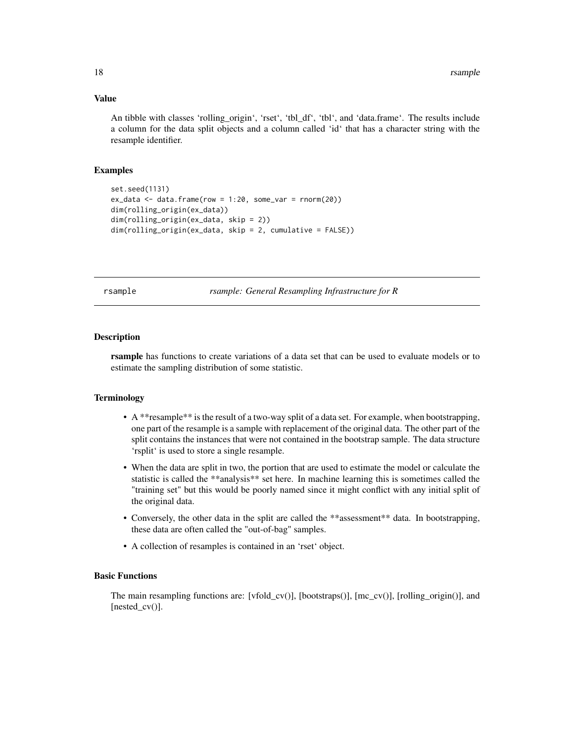#### <span id="page-17-0"></span>Value

An tibble with classes 'rolling\_origin', 'rset', 'tbl\_df', 'tbl', and 'data.frame'. The results include a column for the data split objects and a column called 'id' that has a character string with the resample identifier.

#### Examples

```
set.seed(1131)
ex_data <- data.frame(row = 1:20, some_var = rnorm(20))
dim(rolling_origin(ex_data))
dim(rolling_origin(ex_data, skip = 2))
dim(rolling_origin(ex_data, skip = 2, cumulative = FALSE))
```
rsample *rsample: General Resampling Infrastructure for R*

#### **Description**

rsample has functions to create variations of a data set that can be used to evaluate models or to estimate the sampling distribution of some statistic.

#### Terminology

- A \*\*resample\*\* is the result of a two-way split of a data set. For example, when bootstrapping, one part of the resample is a sample with replacement of the original data. The other part of the split contains the instances that were not contained in the bootstrap sample. The data structure 'rsplit' is used to store a single resample.
- When the data are split in two, the portion that are used to estimate the model or calculate the statistic is called the \*\*analysis\*\* set here. In machine learning this is sometimes called the "training set" but this would be poorly named since it might conflict with any initial split of the original data.
- Conversely, the other data in the split are called the \*\*assessment\*\* data. In bootstrapping, these data are often called the "out-of-bag" samples.
- A collection of resamples is contained in an 'rset' object.

#### Basic Functions

The main resampling functions are:  $[vfold\_cv()]$ ,  $[bootstraps()]$ ,  $[mc\_cv()]$ ,  $[velling\_origin()]$ , and [nested\_cv()].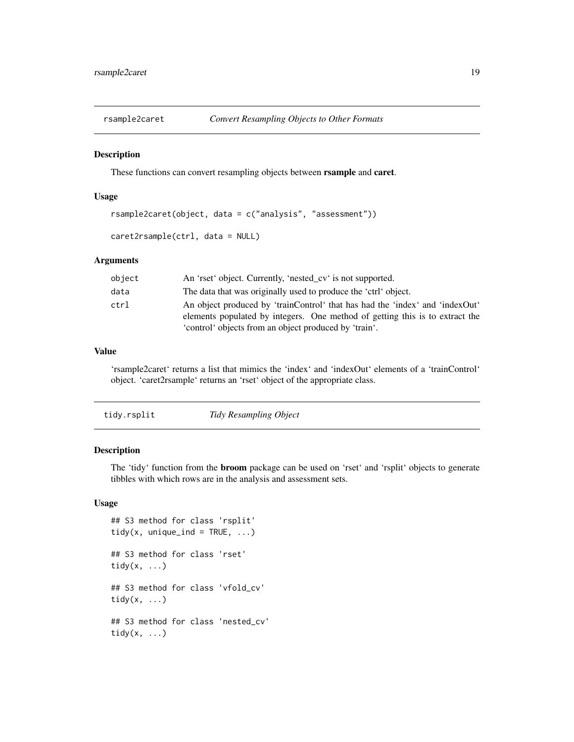<span id="page-18-0"></span>

These functions can convert resampling objects between rsample and caret.

#### Usage

```
rsample2caret(object, data = c("analysis", "assessment"))
```

```
caret2rsample(ctrl, data = NULL)
```
#### Arguments

| object | An 'rset' object. Currently, 'nested_cv' is not supported.                   |
|--------|------------------------------------------------------------------------------|
| data   | The data that was originally used to produce the 'ctrl' object.              |
| ctrl   | An object produced by 'trainControl' that has had the 'index' and 'indexOut' |
|        | elements populated by integers. One method of getting this is to extract the |
|        | 'control' objects from an object produced by 'train'.                        |

#### Value

'rsample2caret' returns a list that mimics the 'index' and 'indexOut' elements of a 'trainControl' object. 'caret2rsample' returns an 'rset' object of the appropriate class.

| Tidy Resampling Object<br>tidy.rsplit |  |  |  |
|---------------------------------------|--|--|--|
|---------------------------------------|--|--|--|

#### Description

The 'tidy' function from the broom package can be used on 'rset' and 'rsplit' objects to generate tibbles with which rows are in the analysis and assessment sets.

#### Usage

```
## S3 method for class 'rsplit'
tidy(x, unique_ind = TRUE, \ldots)
## S3 method for class 'rset'
tidy(x, \ldots)## S3 method for class 'vfold_cv'
tidy(x, \ldots)## S3 method for class 'nested_cv'
tidy(x, \ldots)
```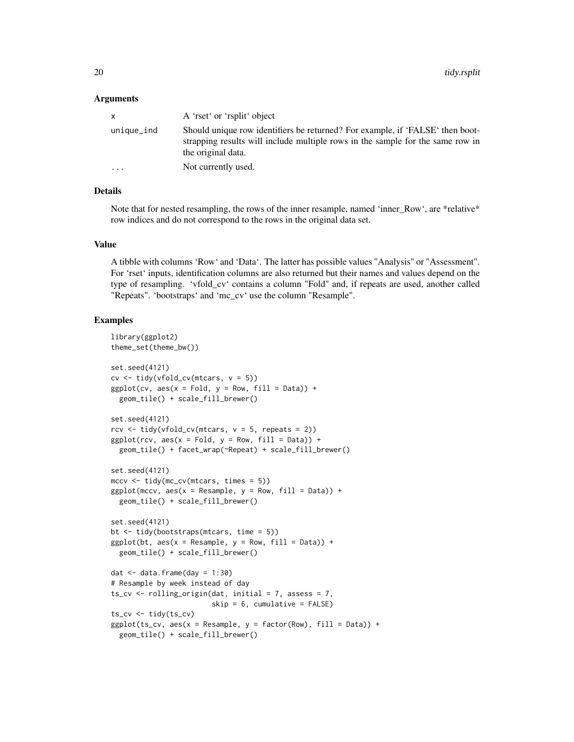#### Arguments

| $\mathsf{x}$            | A 'rset' or 'rsplit' object                                                                                                                                                           |
|-------------------------|---------------------------------------------------------------------------------------------------------------------------------------------------------------------------------------|
| unique_ind              | Should unique row identifiers be returned? For example, if 'FALSE' then boot-<br>strapping results will include multiple rows in the sample for the same row in<br>the original data. |
| $\cdot$ $\cdot$ $\cdot$ | Not currently used.                                                                                                                                                                   |

#### Details

Note that for nested resampling, the rows of the inner resample, named 'inner\_Row', are \*relative\* row indices and do not correspond to the rows in the original data set.

#### Value

A tibble with columns 'Row' and 'Data'. The latter has possible values "Analysis" or "Assessment". For 'rset' inputs, identification columns are also returned but their names and values depend on the type of resampling. 'vfold\_cv' contains a column "Fold" and, if repeats are used, another called "Repeats". 'bootstraps' and 'mc\_cv' use the column "Resample".

```
library(ggplot2)
theme_set(theme_bw())
set.seed(4121)
cv \leq t \text{idy}(vfold_c v(mtcars, v = 5))ggplot(cv, aes(x = Fold, y = Row, fill = Data)) +geom_tile() + scale_fill_brewer()
set.seed(4121)
rcv \le tidy(vfold_cv(mtcars, v = 5, repeats = 2))
ggplot(rcv, aes(x = Fold, y = Row, fill = Data)) +geom_tile() + facet_wrap(~Repeat) + scale_fill_brewer()
set.seed(4121)
mccv <- tidy(mc_cv(mtcars, times = 5))
ggplot(mccv, aes(x = Resample, y = Row, fill = Data)) +geom_tile() + scale_fill_brewer()
set.seed(4121)
bt <- tidy(bootstraps(mtcars, time = 5))
ggplot(bt, aes(x = Resample, y = Row, fill = Data)) +geom_tile() + scale_fill_brewer()
dat \leq data.frame(day = 1:30)
# Resample by week instead of day
ts_cv \le rolling_origin(dat, initial = 7, assess = 7,
                        skip = 6, cumulative = FALSE)
ts_cv <- tidy(ts_cv)
ggplot(ts_cv, aes(x = Resample, y = factor(Row), fill = Data)) +geom_tile() + scale_fill_brewer()
```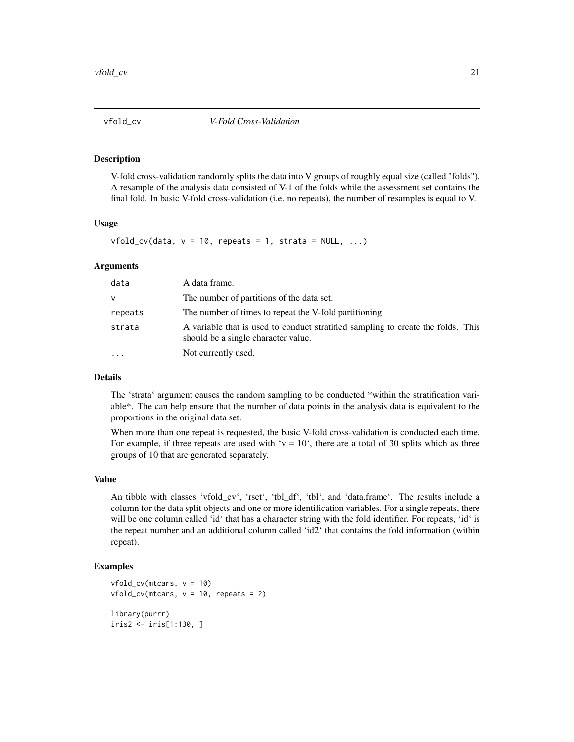<span id="page-20-0"></span>

V-fold cross-validation randomly splits the data into V groups of roughly equal size (called "folds"). A resample of the analysis data consisted of V-1 of the folds while the assessment set contains the final fold. In basic V-fold cross-validation (i.e. no repeats), the number of resamples is equal to V.

#### Usage

 $vfold_c v(data, v = 10, repeats = 1, strata = NULL, ...)$ 

#### **Arguments**

| data    | A data frame.                                                                                                           |
|---------|-------------------------------------------------------------------------------------------------------------------------|
| v       | The number of partitions of the data set.                                                                               |
| repeats | The number of times to repeat the V-fold partitioning.                                                                  |
| strata  | A variable that is used to conduct stratified sampling to create the folds. This<br>should be a single character value. |
| .       | Not currently used.                                                                                                     |

#### Details

The 'strata' argument causes the random sampling to be conducted \*within the stratification variable\*. The can help ensure that the number of data points in the analysis data is equivalent to the proportions in the original data set.

When more than one repeat is requested, the basic V-fold cross-validation is conducted each time. For example, if three repeats are used with ' $v = 10$ ', there are a total of 30 splits which as three groups of 10 that are generated separately.

#### Value

An tibble with classes 'vfold\_cv', 'rset', 'tbl\_df', 'tbl', and 'data.frame'. The results include a column for the data split objects and one or more identification variables. For a single repeats, there will be one column called 'id' that has a character string with the fold identifier. For repeats, 'id' is the repeat number and an additional column called 'id2' that contains the fold information (within repeat).

```
vfold_c v(mtcars, v = 10)vfold_cv(mtcars, v = 10, repeats = 2)library(purrr)
iris2 <- iris[1:130, ]
```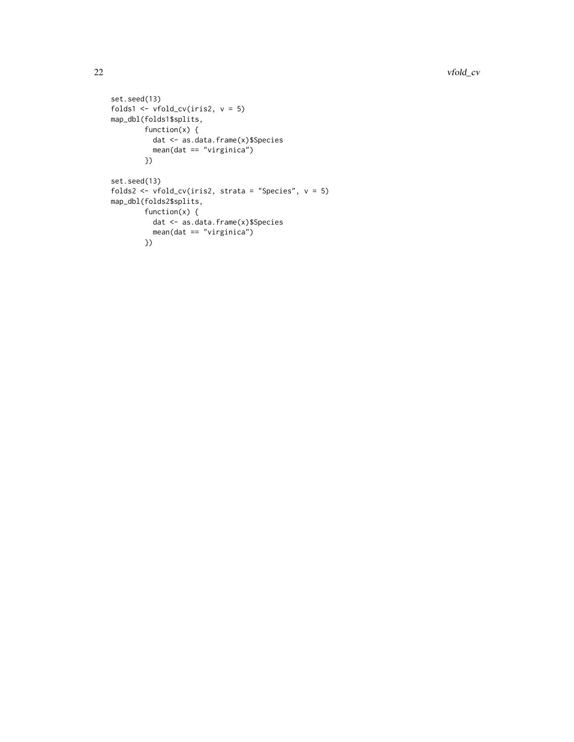```
set.seed(13)
folds1 <- vfold_cv(iris2, v = 5)map_dbl(folds1$splits,
       function(x) {
         dat <- as.data.frame(x)$Species
         mean(data == "virginica")})
set.seed(13)
folds2 <- vfold_cv(iris2, strata = "Species", v = 5)
map_dbl(folds2$splits,
        function(x) {
          dat <- as.data.frame(x)$Species
         mean(data == "virginica")})
```